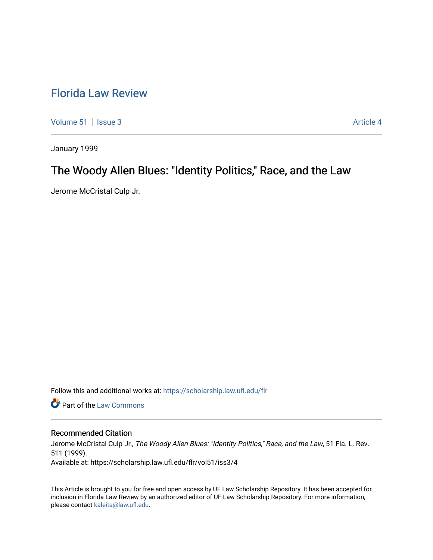# [Florida Law Review](https://scholarship.law.ufl.edu/flr)

[Volume 51](https://scholarship.law.ufl.edu/flr/vol51) | [Issue 3](https://scholarship.law.ufl.edu/flr/vol51/iss3) Article 4

January 1999

# The Woody Allen Blues: "Identity Politics," Race, and the Law

Jerome McCristal Culp Jr.

Follow this and additional works at: [https://scholarship.law.ufl.edu/flr](https://scholarship.law.ufl.edu/flr?utm_source=scholarship.law.ufl.edu%2Fflr%2Fvol51%2Fiss3%2F4&utm_medium=PDF&utm_campaign=PDFCoverPages)

**C** Part of the [Law Commons](http://network.bepress.com/hgg/discipline/578?utm_source=scholarship.law.ufl.edu%2Fflr%2Fvol51%2Fiss3%2F4&utm_medium=PDF&utm_campaign=PDFCoverPages)

## Recommended Citation

Jerome McCristal Culp Jr., The Woody Allen Blues: "Identity Politics," Race, and the Law, 51 Fla. L. Rev. 511 (1999). Available at: https://scholarship.law.ufl.edu/flr/vol51/iss3/4

This Article is brought to you for free and open access by UF Law Scholarship Repository. It has been accepted for inclusion in Florida Law Review by an authorized editor of UF Law Scholarship Repository. For more information, please contact [kaleita@law.ufl.edu](mailto:kaleita@law.ufl.edu).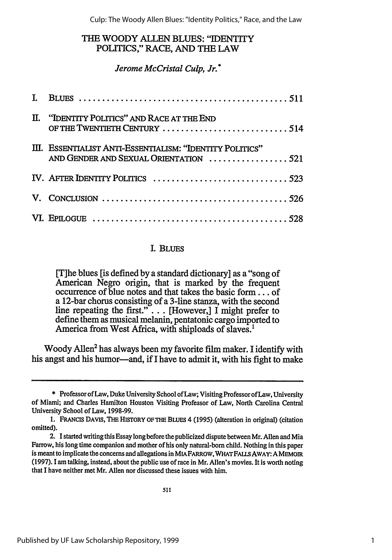# THE WOODY ALLEN **BLUES:** "IDENTITY POLiTICS," RACE, AND THE LAW

# *Jerome McCristal Culp, Jr.\**

| II. "IDENTITY POLITICS" AND RACE AT THE END<br>OF THE TWENTIETH CENTURY 514                                |  |
|------------------------------------------------------------------------------------------------------------|--|
| III. ESSENTIALIST ANTI-ESSENTIALISM: "IDENTITY POLITICS"<br>AND GENDER AND SEXUAL ORIENTATION 521          |  |
|                                                                                                            |  |
| V. CONCLUSION $\ldots \ldots \ldots \ldots \ldots \ldots \ldots \ldots \ldots \ldots \ldots \ldots \ldots$ |  |
|                                                                                                            |  |

# I. BLUES

[T]he blues [is defined by a standard dictionary] as a "song of American Negro origin, that is marked by the frequent occurrence of blue notes and that takes the basic form... of a 12-bar chorus consisting of a 3-line stanza, with the second line repeating the first." $\ldots$  [However,] I might prefer to define them as musical melanin, pentatonic cargo imported to America from West Africa, with shiploads of slaves.'

Woody Allen<sup>2</sup> has always been my favorite film maker. I identify with his angst and his humor-and, if I have to admit it, with his fight to make

<sup>\*</sup> Professor of Law, Duke University School of Law; Visiting Professor of Law, University of Miami; and Charles Hamilton Houston Visiting Professor of Law, North Carolina Central University School of Law, 1998-99.

**<sup>1.</sup> FRANCiS DAVIS, THE HISTORY OF THE** BLUES 4 (1995) (alteration in original) (citation omitted).

<sup>2.</sup> I started writing this Essay long before the publicized dispute between Mr. Allen and Mia Farrow, his long time companion and mother of his only natural-born child. Nothing in this paper is meant to implicate the concerns and allegations in MIAFARROW, WHATFAULS AWAY: AMEMOIR (1997). 1 am talking, instead, about the public use of race in Mr. Allen's movies. It is worth noting that I have neither met Mr. Allen nor discussed these issues with him.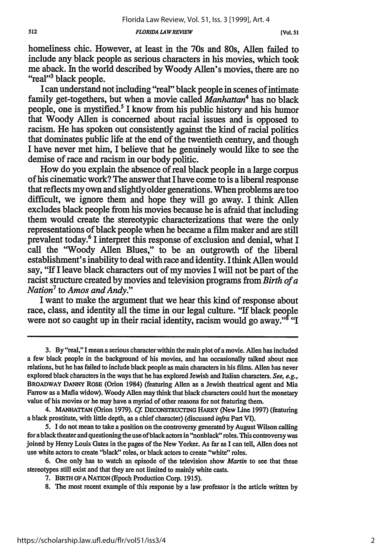*FLORIDA L4WREVIEW*

homeliness chic. However, at least in the 70s and 80s, Allen failed to include any black people as serious characters in his movies, which took me aback. In the world described by Woody Allen's movies, there are no "real"3 black people.

I can understand not including "real" black people in scenes of intimate family get-togethers, but when a movie called *Manhattan4* has no black people, one is mystified.5 I know from his public history and his humor that Woody Allen is concerned about racial issues and is opposed to racism. He has spoken out consistently against the kind of racial politics that dominates public life at the end of the twentieth century, and though I have never met him, I believe that he genuinely would like to see the demise of race and racism in our body politic.

How do you explain the absence of real black people in a large corpus of his cinematic work? The answer that I have come to is a liberal response that reflects my own and slightly older generations. When problems are too difficult, we ignore them and hope they will go away. I think Allen excludes black people from his movies because he is afraid that including them would create the stereotypic characterizations that were the only representations of black people when he became a film maker and are still prevalent today.6 I interpret this response of exclusion and denial, what I call the "Woody Allen Blues," to be an outgrowth of the liberal establishment's inability to deal with race and identity. I think Allen would say, "If I leave black characters out of my movies I will not be part of the racist structure created by movies and television programs from *Birth of a Nation7* to *Amos and Andy."*

I want to make the argument that we hear this kind of response about race, class, and identity all the time in our legal culture. "If black people were not so caught up in their racial identity, racism would go away."<sup> $\delta$ </sup> "I

<sup>3.</sup> By "real," I mean a serious character within the main plot of a movie. Allen has included a few black people in the background of his movies, and has occasionally talked about race relations, but he has failed to include black people as main characters in his films. Allen has never explored black characters in the ways that he has explored Jewish and Italian characters. *See, e.g.,* BROADWAY **DANNY** ROSE (Orion 1984) (featuring Allen as a Jewish theatrical agent and Mia Farrow as a Mafia widow). Woody Allen may think that black characters could hurt the monetary value of his movies or he may have a myriad of other reasons for not featuring them.

<sup>4.</sup> **MANH7TrAN** (Orion 1979). *Cf* DECONSTRUcING HARRY (New Line 1997) (featuring a black prostitute, with little depth, as a chief character) (discussed *infra* Part VI).

*<sup>5.</sup>* I do not mean to take a position on the controversy generated by August Wilson calling for a black theater and questioning the use of black actors in "nonblack" roles. This controversy was joined by Henry Louis Gates in the pages of the New Yorker. As far as I can tell, Allen does not use white actors to create "black" roles, or black actors to create "white" roles.

<sup>6.</sup> One only has to watch an episode of the television show *Martin* to see that these stereotypes still exist and that they are not limited to mainly white casts.

<sup>7.</sup> BiRTH **OFA** NATION (Epoch Production Corp. **1915).**

<sup>8.</sup> The most recent example of this response by a law professor is the article written by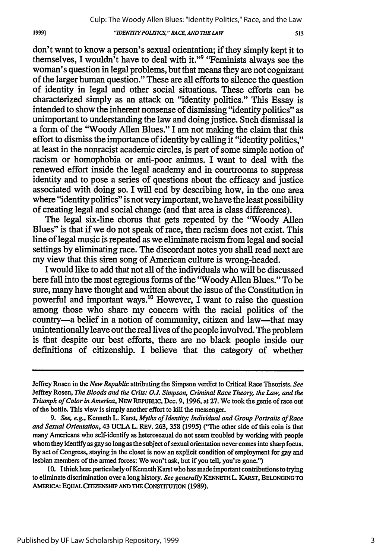## *"IDENMTYPOLITICS," RACE, AND THE LAW*

1999]

513

don't want to know a person's sexual orientation; if they simply kept it to themselves, I wouldn't have to deal with it."<sup>9</sup> "Feminists always see the woman's question in legal problems, but that means they are not cognizant of the larger human question." These are all efforts to silence the question of identity in legal and other social situations. These efforts can be characterized simply as an attack on "identity politics." This Essay is intended to show the inherent nonsense of dismissing "identity politics" as unimportant to understanding the law and doing justice. Such dismissal is a form of the "Woody Allen Blues." I am not making the claim that this effort to dismiss the importance of identity **by** calling it "identity politics," at least in the nonracist academic circles, is part of some simple notion of racism or homophobia or anti-poor animus. I want to deal with the renewed effort inside the legal academy and in courtrooms to suppress identity and to pose a series of questions about the efficacy and justice associated with doing so. I will end **by** describing how, in the one area where "identity politics" is not very important, we have the least possibility of creating legal and social change (and that area is class differences).

The legal six-line chorus that gets repeated **by** the 'Woody Allen Blues" is that if we do not speak of race, then racism does not exist. This line of legal music is repeated as we eliminate racism from legal and social settings **by** eliminating race. The discordant notes you shall read next are my view that this siren song of American culture is wrong-headed.

I would like to add that not all of the individuals who will be discussed here fall into the most egregious forms of the 'Woody Allen Blues." To be sure, many have thought and written about the issue of the Constitution in powerful and important ways."° However, I want to raise the question among those who share my concern with the racial politics of the country-a belief in a notion of community, citizen and law-that may unintentionally leave out the real lives of the people involved. The problem is that despite our best efforts, there are no black people inside our definitions of citizenship. I believe that the category of whether

Jeffrey Rosen in the *New Republic* attributing the Simpson verdict to Critical Race Theorists. *See* Jeffrey Rosen, *The Bloods and the Crits: O.J. Simpson, Criminal Race Theory, the Law, and the Triumph of Color in America,* **NEW** REPUBLIC, Dec. **9, 1996,** at **27.** We took the genie of race out of the bottle. This view is simply another effort to **kill** the messenger.

*<sup>9.</sup> See, e.g.,* Kenneth L. Karst, *Myths of Identity: Individual and Group Portraits of Race and Sexual Orientation,* 43 **UCLA** L. REv. **263,** *358* **(1995) ('qhe** other side of this coin is that many Americans who self-identify as heterosexual do not seem troubled **by** working with people whom they identify as gay so long as the subject of sexual orientation never comes into sharp focus. **By** act of Congress, staying in the closet is now an explicit condition of employment for gay and lesbian members of the armed forces: We won't ask, but if you tell, you're gone.")

**<sup>10.</sup> I** think here particularly of Kenneth Karst who has made important contributions to trying to eliminate discrimination over a long history. *See generally* **KENNETH L. KARST, BELONGING TO** AMERICA: EQUAL **CITIZENSHIP AND THE CONSTITUTION (1989).**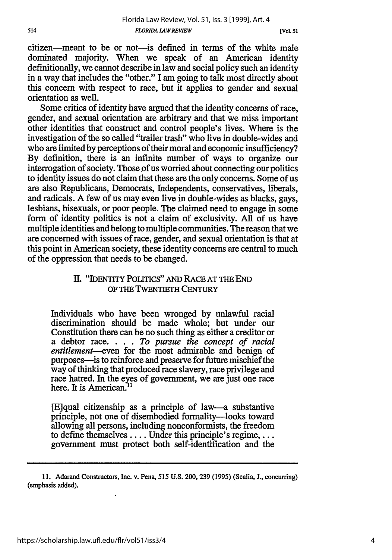**[Vol.** *51*

citizen-meant to be or not-is defined in terms of the white male dominated majority. When we speak of an American identity definitionally, we cannot describe in law and social policy such an identity in a way that includes the "other." I am going to talk most directly about this concern with respect to race, but it applies to gender and sexual orientation as well.

Some critics of identity have argued that the identity concerns of race, gender, and sexual orientation are arbitrary and that we miss important other identities that construct and control people's lives. Where is the investigation of the so called "trailer trash" who live in double-wides and who are limited by perceptions of their moral and economic insufficiency? By definition, there is an infimite number of ways to organize our interrogation of society. Those of us worried about connecting our politics to identity issues do not claim that these are the only concerns. Some of us are also Republicans, Democrats, Independents, conservatives, liberals, and radicals. A few of us may even live in double-wides as blacks, gays, lesbians, bisexuals, or poor people. The claimed need to engage in some form of identity politics is not a claim of exclusivity. All of us have multiple identities and belong to multiple communities. The reason that we are concerned with issues of race, gender, and sexual orientation is that at this point in American society, these identity concerns are central to much of the oppression that needs to be changed.

# **II.** "IDENTiTY POLITICS" **AND** RACE AT THE **END** OF **THE TWENTIETH** CENTURY

Individuals who have been wronged by unlawful racial discrimination should be made whole; but under our Constitution there can be no such thing as either a creditor or a debtor race. . **.** . *To pursue the concept of racial entitlement-even* for the most admirable and benign of purposes-is to reinforce and preserve for future mischief the way of thinking that produced race slavery, race privilege and race hatred. In the eyes of government, we are just one race here. It is American.<sup>11</sup>

[E]qual citizenship as a principle of law-a substantive principle, not one of disembodied formality-looks toward allowing all persons, including nonconformists, the freedom to define themselves .... Under this principle's regime,... government must protect both self-identification and the

**<sup>11.</sup>** Adarand Constructors, Inc. v. Pena, 515 **U.S.** 200, **239** (1995) (Scalia, **J.,** concurring) (emphasis added).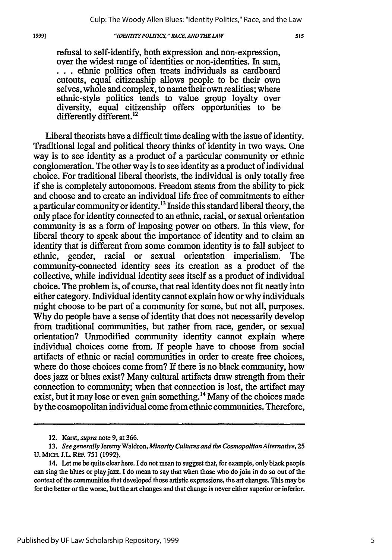#### 19991

### *"IDENTITY POLITICS." RACE, AND THE LAW*

refusal to self-identify, both expression and non-expression, ... ethnic politics often treats individuals as cardboard cutouts, equal citizenship allows people to be their own selves, whole and complex, to name their own realities; where ethnic-style politics tends to value group loyalty over diversity, equal citizenship offers opportunities to be differently different.<sup>12</sup>

Liberal theorists have a difficult time dealing with the issue of identity. Traditional legal and political theory thinks of identity in two ways. One way is to see identity as a product of a particular community or ethnic conglomeration. The other way is to see identity as a product of individual choice. For traditional liberal theorists, the individual is only totally free if she is completely autonomous. Freedom stems from the ability to pick and choose and to create an individual life free of commitments to either a particular community or identity.13 Inside this standard liberal theory, the only place for identity connected to an ethnic, racial, or sexual orientation community is as a form of imposing power on others. In this view, for liberal theory to speak about the importance of identity and to claim an identity that is different from some common identity is to fall subject to ethnic, gender, racial or sexual orientation imperialism. The community-connected identity sees its creation as a product of the collective, while individual identity sees itself as a product of individual choice. The problem is, of course, that real identity does not fit neatly into either category. Individual identity cannot explain how or why individuals might choose to be part of a community for some, but not all, purposes. Why do people have a sense of identity that does not necessarily develop from traditional communities, but rather from race, gender, or sexual orientation? Unmodified community identity cannot explain where individual choices come from. If people have to choose from social artifacts of ethnic or racial communities in order to create free choices, where do those choices come from? If there is no black community, how does jazz or blues exist? Many cultural artifacts draw strength from their connection to community; when that connection is lost, the artifact may exist, but it may lose or even gain something.<sup>14</sup> Many of the choices made by the cosmopolitan individual come from ethnic communities. Therefore,

<sup>12.</sup> Karst, *supra* note 9, at 366.

*<sup>13.</sup> See generally* Jeremy Waldron, *Minority Cultures and the Cosmopolitan Alternative,* **25** U. MICH. J.L. **RE. 751 (1992).**

<sup>14.</sup> Let me be quite clear here. **I** do not mean to suggest that, for example, only black people can sing the blues or play jazz. I do mean to say that when those who do join in do so out of the context **of** the communities that developed those artistic expressions, the art changes. This may be for the better or the worse, but the art changes and that change is never either superior or inferior.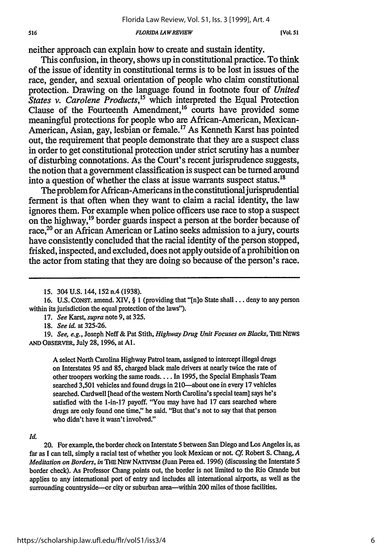#### *FLORIDA LAW REVIEW*

neither approach can explain how to create and sustain identity.

This confusion, in theory, shows up in constitutional practice. To think of the issue of identity in constitutional terms is to be lost in issues of the race, gender, and sexual orientation of people who claim constitutional protection. Drawing on the language found in footnote four of *United States v. Carolene Products*,<sup>15</sup> which interpreted the Equal Protection Clause of the Fourteenth Amendment,<sup>16</sup> courts have provided some meaningful protections for people who are African-American, Mexican-American, Asian, gay, lesbian or female.<sup>17</sup> As Kenneth Karst has pointed out, the requirement that people demonstrate that they are a suspect class in order to get constitutional protection under strict scrutiny has a number of disturbing connotations. As the Court's recent jurisprudence suggests, the notion that a government classification is suspect can be turned around into a question of whether the class at issue warrants suspect status.<sup>18</sup>

The problem for African-Americans in the constitutional jurisprudential ferment is that often when they want to claim a racial identity, the law ignores them. For example when police officers use race to stop a suspect on the highway,'9 border guards inspect a person at the border because of race,<sup>20</sup> or an African American or Latino seeks admission to a jury, courts have consistently concluded that the racial identity of the person stopped, frisked, inspected, and excluded, does not apply outside of a prohibition on the actor from stating that they are doing so because of the person's race.

17. *See Karst, supra* note **9,** at 325.

18. *See id.* at 325-26.

19. *See, e.g.,* Joseph Neff **&** Pat Stith, *Highway Drug Unit Focuses on Blacks, THE* NEWS **AND** OBsERVER, July **28,** 1996, at **Al.**

A select North Carolina Highway Patrol team, assigned to intercept illegal drugs on Interstates **95** and **85,** charged black male drivers at nearly twice the rate of other troopers working the **same** roads.... In 1995, the Special Emphasis Team searched 3,501 vehicles and found drugs in 210-about one in every 17 vehicles searched. Cardwell [head of the western North Carolina's special team] says **he's** satisfied with the 1-in-17 payoff. "You may have had **17** cars searched where drugs are only found one **time,"** he said. "But that's not to say that that person who didn't have it wasn't involved."

#### *Id.*

516

20. For example, the border check on Interstate **5** between San Diego and Los Angeles is, as far as **I** can tell, simply a racial test of whether you look Mexican or not. *Cf* Robert S. Chang, *A Meditation on Borders, in* THE NEW NATIVISM (Juan Perea ed. 1996) (discussing the Interstate 5 border check). As Professor Chang points out, the border is not limited to the Rio Grande but applies to any international port of entry and includes all international airports, as well as the surrounding countryside—or city or suburban area—within 200 miles of those facilities.

<sup>15. 304</sup> U.S. 144, 152 n.4 (1938).

**<sup>16.</sup> U.S.** CONST. amend. XIV, § **I** (providing that "[n]o State **shall...** deny to any person within its jurisdiction the equal protection of the laws").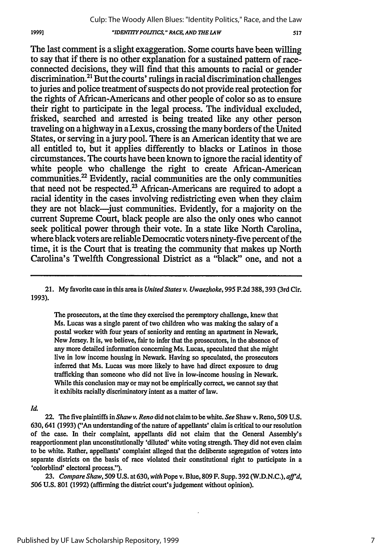## *"IDENT7TY POLITICS," RACE AND THE LAW*

The last comment is a slight exaggeration. Some courts have been willing to say that if there is no other explanation for a sustained pattern of raceconnected decisions, they will find that this amounts to racial or gender  $\alpha$  discrimination.<sup>21</sup> But the courts' rulings in racial discrimination challenges to juries and police treatment of suspects do not provide real protection for the rights of African-Americans and other people of color so as to ensure their right to participate in the legal process. The individual excluded, frisked, searched and arrested is being treated like any other person traveling on a highway in a Lexus, crossing the many borders of the United States, or serving in a jury pool. There is an American identity that we are all entitled to, but it applies differently to blacks or Latinos in those circumstances. The courts have been known to ignore the racial identity of white people who challenge the right to create African-American communities.<sup>22</sup> Evidently, racial communities are the only communities that need not be respected. $^{23}$  African-Americans are required to adopt a racial identity in the cases involving redistricting even when they claim they are not black-just communities. Evidently, for a majority on the current Supreme Court, black people are also the only ones who cannot seek political power through their vote. In a state like North Carolina, where black voters are reliable Democratic voters ninety-five percent of the time, it is the Court that is treating the community that makes up North Carolina's Twelfth Congressional District as a "black" one, and not a

21. My favorite case in this area is *United States v. Uwaezhoke,* 995 F.2d 388, 393 (3rd Cir. **1993).**

The prosecutors, at the time they exercised the peremptory challenge, knew that Ms. Lucas was a single parent of two children who was making the salary of a postal worker with four years of seniority and renting an apartment in Newark, New Jersey. It is, we believe, fair to infer that the prosecutors, in the absence of any more detailed information concerning Ms. Lucas, speculated that she might live in low income housing in Newark. Having so speculated, the prosecutors inferred that Ms. Lucas was more likely to have had direct exposure to drug trafficking than someone who did not live in low-income housing in Newark. While this conclusion may or may not be empirically correct, we cannot say that it exhibits racially discriminatory intent as a matter of law.

## *Id.*

22. The five plaintiffs in *Shaw v. Reno* did not claim to be white. *See* Shaw v. Reno, 509 U.S. 630, 641 (1993) ("An understanding of the nature of appellants' claim is critical to our resolution of the case. In their complaint, appellants did not claim that the General Assembly's reapportionment plan unconstitutionally 'diluted' white voting strength. **They** did not even claim to **be** white. Rather, appellants' complaint alleged that the deliberate segregation of voters into separate districts on the basis of race violated their constitutional right to participate in a 'colorblind' electoral process.").

**23.** *Compare Shaw,* 509 U.S. at 630, *with* Pope v. Blue, 809 F. Supp. 392 (W.D.N.C.), *aft'd,* 506 U.S. 801 (1992) (affirming the district court's judgement without opinion).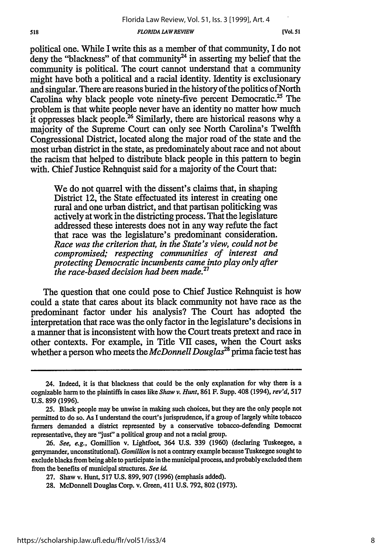### *FLORIDA LAW REVIEW*

518

*[Vol. 51*

political one. While I write this as a member of that community, I do not deny the "blackness" of that community<sup>24</sup> in asserting my belief that the community is political. The court cannot understand that a community might have both a political and a racial identity. Identity is exclusionary and singular. There are reasons buried in the history of the politics of North Carolina why black people vote ninety-five percent Democratic.25 The problem is that white people never have an identity no matter how much it oppresses black people.<sup>26</sup> Similarly, there are historical reasons why a majority of the Supreme Court can only see North Carolina's Twelfth Congressional District, located along the major road of the state and the most urban district in the state, as predominately about race and not about the racism that helped to distribute black people in this pattern to begin with. Chief Justice Rehnquist said for a majority of the Court that:

We do not quarrel with the dissent's claims that, in shaping District 12, the State effectuated its interest in creating one rural and one urban district, and that partisan politicking was actively at work in the districting process. That the legislature addressed these interests does not in any way refute the fact that race was the legislature's predominant consideration. *Race was the criterion that, in the State's view, could not be compromised; respecting communities of interest and protecting Democratic incumbents came into play only after the race-based decision had been made.27*

The question that one could pose to Chief Justice Rehnquist is how could a state that cares about its black community not have race as the predominant factor under his analysis? The Court has adopted the interpretation that race was the only factor in the legislature's decisions in a manner that is inconsistent with how the Court treats pretext and race in other contexts. For example, in Title VII cases, when the Court asks whether a person who meets the *McDonnell Douglas28* prima facie test has

<sup>24.</sup> Indeed, it is that blackness that could be the only explanation for why there is a cognizable harm to the plaintiffs in cases like *Shaw v. Hunt,* 861 F. Supp. 408 (1994), rev'd, *517* U.S. 899 (1996).

**<sup>25.</sup>** Black people may be unwise in making such choices, but they are the only people not permitted to do so. As I understand the court's jurisprudence, if a group of largely white tobacco farmers demanded a district represented by a conservative tobacco-defending Democrat representative, they are 'Just" a political group and not a racial group.

**<sup>26.</sup>** See, *e.g.,* Gomillion v. Lightfoot, 364 U.S. 339 (1960) (declaring Tuskeegee, a gerrymander, unconstitutional). *Gomillion* is not a contrary example because Tuskeegee sought to exclude blacks from being able to participate in the municipal process, and probably excluded them from the benefits of municipal structures. *See id.*

<sup>27.</sup> Shaw v. Hunt, 517 U.S. 899, 907 (1996) (emphasis added).

<sup>28.</sup> McDonnell Douglas Corp. v. Green, 411 U.S. 792, 802 (1973).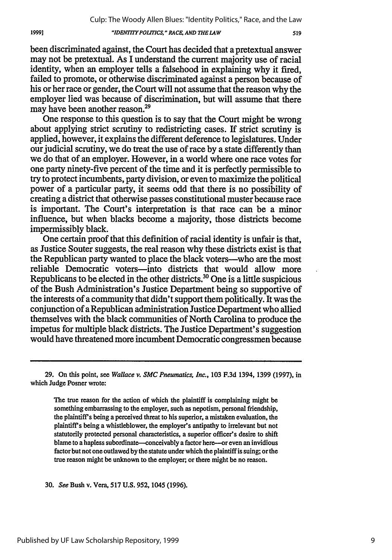## *"IDENTPOLITICS, " RACE, AND THE LAW*

been discriminated against, the Court has decided that a pretextual answer may not be pretextual. As I understand the current majority use of racial identity, when an employer tells a falsehood in explaining why it fired, failed to promote, or otherwise discriminated against a person because of his or her race or gender, the Court will not assume that the reason why the employer lied was because of discrimination, but will assume that there may have been another reason.<sup>29</sup>

One response to this question is to say that the Court might be wrong about applying strict scrutiny to redistricting cases. If strict scrutiny is applied, however, it explains the different deference to legislatures. Under our judicial scrutiny, we do treat the use of race by a state differently than we do that of an employer. However, in a world where one race votes for one party ninety-five percent of the time and it is perfectly permissible to try to protect incumbents, party division, or even to maximize the political power of a particular party, it seems odd that there is no possibility of creating a district that otherwise passes constitutional muster because race is important. The Court's interpretation is that race can be a minor influence, but when blacks become a majority, those districts become impermissibly black.

One certain proof that this definition of racial identity is unfair is that, as Justice Souter suggests, the real reason why these districts exist is that the Republican party wanted to place the black voters-who are the most reliable Democratic voters-into districts that would allow more Republicans to be elected in the other districts.<sup>30</sup> One is a little suspicious of the Bush Administration's Justice Department being so supportive of the interests of a community that didn't support them politically. It was the conjunction of a Republican administration Justice Department who allied themselves with the black communities of North Carolina to produce the impetus for multiple black districts. The Justice Department's suggestion would have threatened more incumbent Democratic congressmen because

29. On this point, see *Wallace v. SMC Pneumatics, Inc.,* 103 F.3d 1394, 1399 (1997), in which Judge Posner wrote:

The true reason for the action of which the plaintiff is complaining might be something embarrassing to the employer, such as nepotism, personal friendship, the plaintiff's being a perceived threat to his superior, a mistaken evaluation, the plaintiff's being a whistleblower, the employer's antipathy to irrelevant but not statutorily protected personal characteristics, a superior officer's desire to shift blame to a hapless subordinate—conceivably a factor here—or even an invidious factor but not one outlawed by the statute under which the plaintiff is suing; or the true reason might be unknown to the employer, or there might be no reason.

**30.** *See* Bush v. Vera, **517 U.S.** 952, 1045 **(1996).**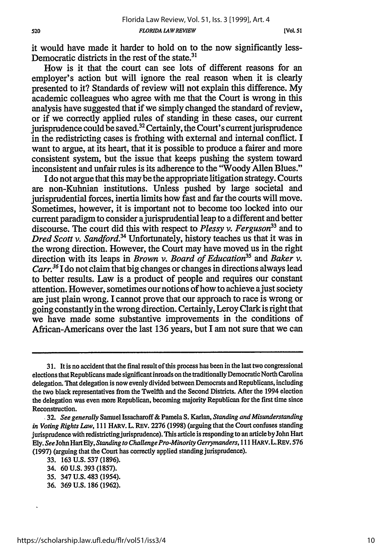**lVoL 51**

it would have made it harder to hold on to the now significantly less-Democratic districts in the rest of the state. $31$ 

How is it that the court can see lots of different reasons for an employer's action but will ignore the real reason when it is clearly presented to it? Standards of review will not explain this difference. My academic colleagues who agree with me that the Court is wrong in this analysis have suggested that if we simply changed the standard of review, or if we correctly applied rules of standing in these cases, our current jurisprudence could be saved.<sup>32</sup> Certainly, the Court's current jurisprudence in the redistricting cases is frothing with external and internal conflict. I want to argue, at its heart, that it is possible to produce a fairer and more consistent system, but the issue that keeps pushing the system toward inconsistent and unfair rules is its adherence to the "Woody Allen Blues."

I do not argue that this maybe the appropriate litigation strategy. Courts are non-Kuhnian institutions. Unless pushed by large societal and jurisprudential forces, inertia limits how fast and far the courts will move. Sometimes, however, it is important not to become too locked into our current paradigm to consider a jurisprudential leap to a different and better discourse. The court did this with respect to *Plessy v. Ferguson33* and to *Dred Scott v. Sandford*<sup>34</sup> Unfortunately, history teaches us that it was in the wrong direction. However, the Court may have moved us in the right direction with its leaps in *Brown v. Board of Education*<sup>35</sup> and *Baker v. Carr.*<sup>36</sup> I do not claim that big changes or changes in directions always lead to better results. Law is a product of people and requires our constant attention. However, sometimes our notions of how to achieve a just society are just plain wrong. I cannot prove that our approach to race is wrong or going constantly in the wrong direction. Certainly, Leroy Clark is right that we have made some substantive improvements in the conditions of African-Americans over the last 136 years, but I am not sure that we can

<sup>31.</sup> It is no accident that the final result of this process has been in the last two congressional elections that Republicans made significant inroads on the traditionally Democratic North Carolina delegation. That delegation is now evenly divided between Democrats and Republicans, including the two black representatives from the Twelfth and the Second Districts. After the 1994 election the delegation was even more Republican, becoming majority Republican for the first time since Reconstruction.

**<sup>,32.</sup>** *See generally* Samuel Issacharoff& Pamela S. Karlan, *Standing and Misunderstanding in Voting Rights Law,* 111 HARV. L. REv. 2276 (1998) (arguing that the Court confuses standing jurisprudence with redistricting jurisprudence). This article is responding to an articleby John Hart Ely. SeeJohn Hart Ely, *Standing to Challenge Pro-Minority Gerrymanders,* 111 HARV.L. REV. 576 (1997) (arguing that the Court has correctly applied standing jurisprudence).

<sup>33. 163</sup> U.S. **537** (1896).

<sup>34. 60</sup> U.S. 393 (1857).

<sup>35. 347</sup> **U.S.** 483 (1954).

<sup>36. 369</sup> U.S. 186 (1962).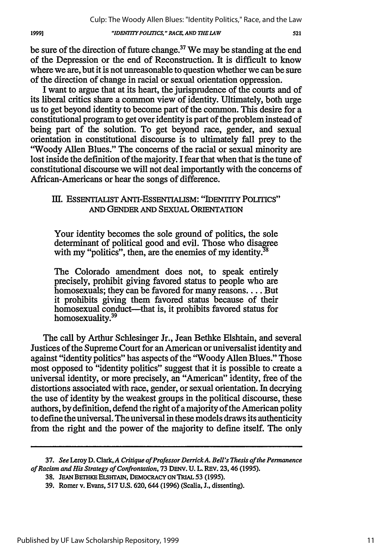*"IDENTITYPOLITICS," RACE, AND THE LAW*

be sure of the direction of future change.<sup>37</sup> We may be standing at the end of the Depression or the end of Reconstruction. It is difficult to know where we are, but it is not unreasonable to question whether we can be sure of the direction of change in racial or sexual orientation oppression.

I want to argue that at its heart, the jurisprudence of the courts and of its liberal critics share a common view of identity. Ultimately, both urge us to get beyond identity to become part of the common. This desire for a constitutional program to get over identity is part of the problem instead of being part of the solution. To get beyond race, gender, and sexual orientation in constitutional discourse is to ultimately fall prey to the "Woody Allen Blues." The concerns of the racial or sexual minority are lost inside the definition of the majority. I fear that when that is the tune of constitutional discourse we will not deal importantly with the concerns of African-Americans or hear the songs of difference.

# III. ESSENTIAUST ANTI-ESSENTIALISM: "IDENTITY POLITICS" AND GENDER AND SEXUAL ORIENTATION

Your identity becomes the sole ground of politics, the sole determinant of political good and evil. Those who disagree with my "politics", then, are the enemies of my identity. $38$ 

The Colorado amendment does not, to speak entirely precisely, prohibit giving favored status to people who are homosexuals; they can be favored for many reasons.... But it prohibits giving them favored status because of their homosexual conduct----that is, it prohibits favored status for homosexuality.39

The call by Arthur Schlesinger Jr., Jean Bethke Elshtain, and several Justices of the Supreme Court for an American or universalist identity and against "identity politics" has aspects of the 'Woody Allen Blues." Those most opposed to "identity politics" suggest that it is possible to create a universal identity, or more precisely, an "American" identity, free of the distortions associated with race, gender, or sexual orientation. In decrying the use of identity by the weakest groups in the political discourse, these authors, by definition, defend the right of a majority of the American polity to define the universal. The universal in these models draws its authenticity from the right and the power of the majority to define itself. The only

<sup>37.</sup> *See* Leroy D. Clark, A *Critique of Professor DerrickA. Bell's Thesis of the Permanence of Racism and His Strategy of Confrontation,* 73 **DENy. U.** L. REv. 23, 46 (1995).

<sup>38.</sup> JEAN BETHKE ELSHTAIN, DEMOCRACY ON TRIAL 53 (1995).

<sup>39.</sup> Romer v. Evans, 517 U.S. 620, 644 (1996) (Scalia, L, dissenting).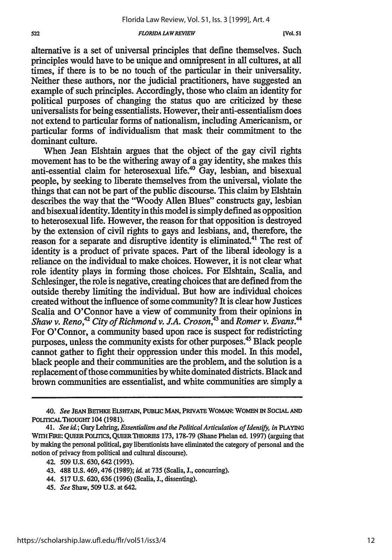#### *FLORIDA LAWREVIEW*

alternative is a set of universal principles that define themselves. Such principles would have to be unique and omnipresent in all cultures, at all times, if there is to be no touch of the particular in their universality. Neither these authors, nor the judicial practitioners, have suggested an example of such principles. Accordingly, those who claim an identity for political purposes of changing the status quo are criticized by these universalists for being essentialists. However, their anti-essentialism does not extend to particular forms of nationalism, including Americanism, or particular forms of individualism that mask their commitment to the dominant culture.

When Jean Elshtain argues that the object of the gay civil rights movement has to be the withering away of a gay identity, she makes this anti-essential claim for heterosexual life.<sup>40</sup> Gay, lesbian, and bisexual people, by seeking to liberate themselves from the universal, violate the things that can not be part of the public discourse. This claim by Elshtain describes the way that the "Woody Allen Blues" constructs gay, lesbian and bisexual identity. Identity in this model is simply defined as opposition to heterosexual life. However, the reason for that opposition is destroyed by the extension of civil rights to gays and lesbians, and, therefore, the reason for a separate and disruptive identity is eliminated.41 The rest of identity is a product of private spaces. Part of the liberal ideology is a reliance on the individual to make choices. However, it is not clear what role identity plays in forming those choices. For Elshtain, Scalia, and Schlesinger, the role is negative, creating choices that are defined from the outside thereby limiting the individual. But how are individual choices created without the influence of some community? It is clear how Justices Scalia and O'Connor have a view of community from their opinions in *Shaw v. Reno,*<sup>42</sup> City of Richmond v. J.A. Croson,<sup>43</sup> and Romer v. Evans.<sup>44</sup> For O'Connor, a community based upon race is suspect for redistricting purposes, unless the community exists for other purposes.45 Black people cannot gather to fight their oppression under this model. In this model, black people and their communities are the problem, and the solution is a replacement of those communities by white dominated districts. Black and brown communities are essentialist, and white communities are simply a

- 44. 517 U.S. 620,636 (1996) (Scalia, J., dissenting).
- *45. See* Shaw, 509 U.S. at 642.

<sup>40.</sup> *See* **JEAN BETHKE** ELSHTAIN, **PUBLIC MAN, PRIVATE** WOMAN: WOMEN **IN SOCIAL AND** POLITICAL THOUGHT 104 (1981).

*<sup>41.</sup> See iad;* Gary Lehring, *Essentialism and the Political Articulation of Identify, in* **PLAYING** WrrHFIRE: **QUEER POTrICS, QUEERTlEORiES 173, 178-79** (Shane Phelan ed. **1997)** (arguing that by maling the personal political, gay liberationists have eliminated the category of personal and the notion of privacy from political and cultural discourse).

<sup>42. 509</sup> U.S. 630,642 (1993).

<sup>43. 488</sup> U.S. 469,476 (1989); id at 735 (Scalia, **J.,** concurring).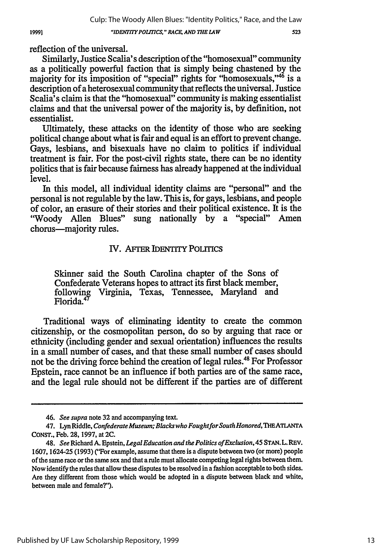"IDENTITY POLITICS," RACE, AND THE LAW

reflection of the universal.

Similarly, Justice Scalia's description of the "homosexual" community as a politically powerful faction that is simply being chastened by the majority for its imposition of "special" rights for "homosexuals,"<sup>46</sup> is a description of a heterosexual community that reflects the universal. Justice Scalia's claim is that the "homosexual" community is making essentialist claims and that the universal power of the majority is, by definition, not essentialist.

Ultimately, these attacks on the identity of those who are seeking political change about what is fair and equal is an effort to prevent change. Gays, lesbians, and bisexuals have no claim to politics if individual treatment is fair. For the post-civil rights state, there can be no identity politics that is fair because fairness has already happened at the individual level.

In this model, all individual identity claims are "personal" and the personal is not regulable by the law. This is, for gays, lesbians, and people of color, an erasure of their stories and their political existence. It is the "Woody Allen Blues" sung nationally by a "special" Amen chorus-majority rules.

# IV. AFTER IDENTITY PoITIcs

Skinner said the South Carolina chapter of the Sons of Confederate Veterans hopes to attract its first black member, following Virginia, Texas, Tennessee, Maryland and Florida. **<sup>4</sup>**

Traditional ways of eliminating identity to create the common citizenship, or the cosmopolitan person, do so by arguing that race or ethnicity (including gender and sexual orientation) influences the results in a small number of cases, and that these small number of cases should not be the driving force behind the creation of legal rules.<sup>48</sup> For Professor Epstein, race cannot be an influence if both parties are of the same race, and the legal rule should not be different if the parties are of different

**<sup>46.</sup>** See **supra** note 32 and accompanying text.

<sup>47.</sup> Lyn Riddle, *Confederate Museum; Blacks who Fought for South Honored*, THE ATLANTA CONST., Feb. 28, 1997, at **2C.**

<sup>48.</sup> *See* Richard A. Epstein, *Legal Education and the Politics ofExclusion, 45* STAN. L. REV. 1607, 1624-25 (1993) ("For example, assume that there is a dispute between two (or more) people of the same race or the same sex and that a rule must allocate competing legal rights between them. Now identify the rules that allow these disputes to be resolved in a fashion acceptable to both sides. Are they different from those which would be adopted in a dispute between black and white, between male and female?").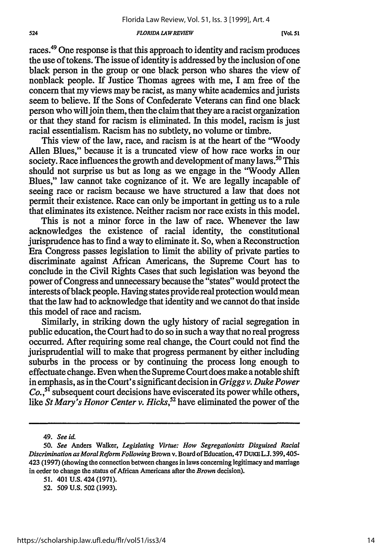#### *FLORIDA LAWREVIEW*

races.49 One response is that this approach to identity and racism produces the use of tokens. The issue of identity is addressed by the inclusion of one black person in the group or one black person who shares the view of nonblack people. If Justice Thomas agrees with me, I am free of the concern that my views may be racist, as many white academics and jurists seem to believe. If the Sons of Confederate Veterans can find one black person who will join them, then the claim that they are a racist organization or that they stand for racism is eliminated. In this model, racism is just racial essentialism. Racism has no subtlety, no volume or timbre.

This view of the law, race, and racism is at the heart of the "Woody Allen Blues," because it is a truncated view of how race works in our society. Race influences the growth and development of many laws.<sup>50</sup> This should not surprise us but as long as we engage in the "Woody Allen Blues," law cannot take cognizance of it. We are legally incapable of seeing race or racism because we have structured a law that does not permit their existence. Race can only be important in getting us to a rule that eliminates its existence. Neither racism nor race exists in this model.

This is not a minor force in the law of race. Whenever the law acknowledges the existence of racial identity, the constitutional jurisprudence has to find a way to eliminate it. So, when a Reconstruction Era Congress passes legislation to limit the ability of private parties to discriminate against African Americans, the Supreme Court has to conclude in the Civil Rights Cases that such legislation was beyond the power of Congress and unnecessary because the "states" would protect the interests of black people. Having states provide real protection would mean that the law had to acknowledge that identity and we cannot do that inside this model of race and racism.

Similarly, in striking down the ugly history of racial segregation in public education, the Court had to do so in such a way that no real progress occurred. After requiring some real change, the Court could not find the jurisprudential will to make that progress permanent by either including suburbs in the process or by continuing the process long enough to effectuate change. Even when the Supreme Court does make a notable shift in emphasis, as in the Court's significant decision in *Griggs v. Duke Power Co.,51* subsequent court decisions have eviscerated its power while others, like *St Mary's Honor Center v. Hicks,"* have eliminated the power of the

<sup>49.</sup> *See iL*

*<sup>50.</sup> See* Anders Walker, *Legislating Virtue: How Segregationists Disguised Racial Discrimination as MoralReform Following* Brown v. Board of Education, 47 DUKE *L.L* 399,405- 423 (1997) (showing the connection between changes in laws concerning legitimacy and marriage in order to change the status of African Americans after the *Brown* decision).

<sup>51. 401</sup> U.S. 424 (1971).

<sup>52. 509</sup> U.S. 502 (1993).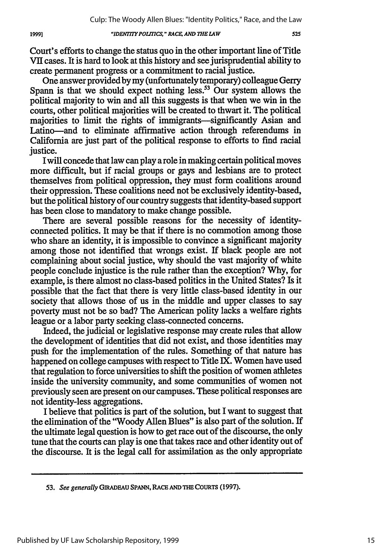## *"IDEN YPOLTICS, " RACE; AND THE LAW*

Court's efforts to change the status quo in the other important line of Title VII cases. It is hard to look at this history and see jurisprudential ability to create permanent progress or a commitment to racial justice.

One answer provided **by** my (unfortunately temporary) colleague Gerry Spann is that we should expect nothing less.<sup>53</sup> Our system allows the political majority to win and all this suggests is that when we win in the courts, other political majorities will be created to thwart it. The political majorities to limit the rights of immigrants-significantly Asian and Latino-and to eliminate affirmative action through referendums in California are just part of the political response to efforts to find racial justice.

I will concede that law can play a role in making certain political moves more difficult, but if racial groups or gays and lesbians are to protect themselves from political oppression, they must form coalitions around their oppression. These coalitions need not be exclusively identity-based, but the political history of our country suggests that identity-based support has been close to mandatory to make change possible.

There are several possible reasons for the necessity of identityconnected politics. It may be that if there is no commotion among those who share an identity, it is impossible to convince a significant majority among those not identified that wrongs exist. If black people are not complaining about social justice, why should the vast majority of white people conclude injustice is the rule rather than the exception? Why, for example, is there almost no class-based politics in the United States? Is it possible that the fact that there is very little class-based identity in our society that allows those of us in the middle and upper classes to say poverty must not be so bad? The American polity lacks a welfare rights league or a labor party seeking class-connected concerns.

Indeed, the judicial or legislative response may create rules that allow the development of identities that did not exist, and those identities may push for the implementation of the rules. Something of that nature has happened on college campuses with respect to Title IX. Women have used that regulation to force universities to shift the position of women athletes inside the university community, and some communities of women not previously seen are present on our campuses. These political responses are not identity-less aggregations.

I believe that politics is part of the solution, but I want to suggest that the elimination of the "Woody Allen Blues" is also part of the solution. If the ultimate legal question is how to get race out of the discourse, the only tune that the courts can play is one that takes race and other identity out of the discourse. It is the legal call for assimilation as the only appropriate

*<sup>53.</sup> See generally* **GIRADEAU SPANN,** RACE **AND THE COURTS (1997).**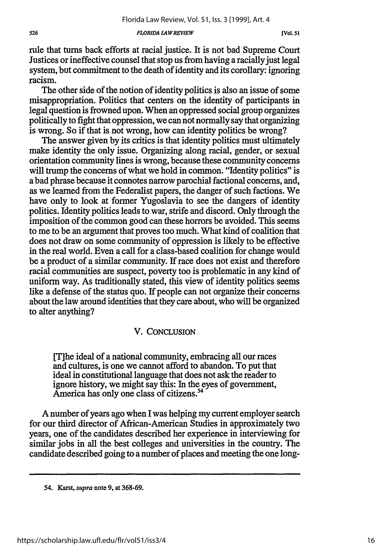*FLORIDA L4WREVIEW*

rule that turns back efforts at racial justice. It is not bad Supreme Court Justices or ineffective counsel that stop us from having a racially just legal system, but commitment to the death of identity and its corollary: ignoring racism.

The other side of the notion of identity politics is also an issue of some misappropriation. Politics that centers on the identity of participants in legal question is frowned upon. When an oppressed social group organizes politically to fight that oppression, we can not normally say that organizing is wrong. So if that is not wrong, how can identity politics be wrong?

The answer given by its critics is that identity politics must ultimately make identity the only issue. Organizing along racial, gender, or sexual orientation community lines is wrong, because these community concerns will trump the concerns of what we hold in common. "Identity politics" is a bad phrase because it connotes narrow parochial factional concerns, and, as we learned from the Federalist papers, the danger of such factions. We have only to look at former Yugoslavia to see the dangers of identity politics. Identity politics leads to war, strife and discord. Only through the imposition of the common good can these horrors be avoided. This seems to me to be an argument that proves too much. What kind of coalition that does not draw on some community of oppression is likely to be effective in the real world. Even a call for a class-based coalition for change would be a product of a similar community. If race does not exist and therefore racial communities are suspect, poverty too is problematic in any kind of uniform way. As traditionally stated, this view of identity politics seems like a defense of the status quo. If people can not organize their concerns about the law around identities that they care about, who will be organized to alter anything?

## V. **CONCLUSION**

[T]he ideal of a national community, embracing all our races and cultures, is one we cannot afford to abandon. To put that ideal in constitutional language that does not ask the reader to ignore history, we might say this: In the eyes of government, America has only one class of citizens.<sup>54</sup>

A number of years ago when I was helping my current employer search for our third director of African-American Studies in approximately two years, one of the candidates described her experience in interviewing for similar jobs in all the best colleges and universities in the country. The candidate described going to a number of places and meeting the one long-

<sup>54.</sup> Karst, *supra* note **9,** at **368-69.**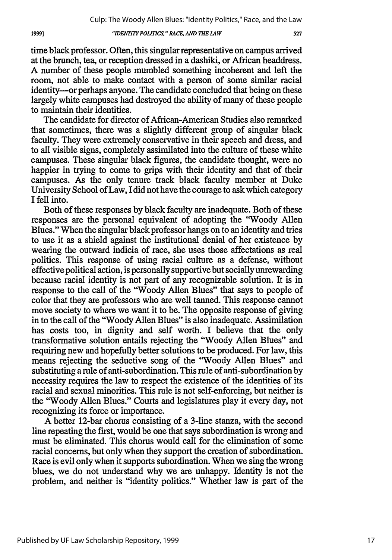## *"IDENTITY POLITICS," RACE, AND THE LAW*

time black professor. Often, this singular representative on campus arrived at the brunch, tea, or reception dressed in a dashiki, or African headdress. A number of these people mumbled something incoherent and left the room, not able to make contact with a person of some similar racial identity---- or perhaps anyone. The candidate concluded that being on these largely white campuses had destroyed the ability of many of these people to maintain their identities.

The candidate for director of African-American Studies also remarked that sometimes, there was a slightly different group of singular black faculty. They were extremely conservative in their speech and dress, and to all visible signs, completely assimilated into the culture of these white campuses. These singular black figures, the candidate thought, were no happier in trying to come to grips with their identity and that of their campuses. As the only tenure track black faculty member at Duke University School of Law, I did not have the courage to ask which category I fell into.

Both of these responses by black faculty are inadequate. Both of these responses are the personal equivalent of adopting the "Woody Allen Blues." When the singular black professor hangs on to an identity and tries to use it as a shield against the institutional denial of her existence by wearing the outward indicia of race, she uses those affectations as real politics. This response of using racial culture as a defense, without effective political action, is personally supportive but socially unrewarding because racial identity is not part of any recognizable solution. It is in response to the call of the "Woody Allen Blues" that says to people of color that they are professors who are well tanned. This response cannot move society to where we want it to be. The opposite response of giving in to the call of the 'Woody Allen Blues" is also inadequate. Assimilation has costs too, in dignity and self worth. I believe that the only transformative solution entails rejecting the "Woody Allen Blues" and requiring new and hopefully better solutions to be produced. For law, this means rejecting the seductive song of the 'Woody Allen Blues" and substituting a rule of anti-subordination. This rule of anti-subordination by necessity requires the law to respect the existence of the identities of its racial and sexual minorities. This rule is not self-enforcing, but neither is the 'Woody Allen Blues." Courts and legislatures play it every day, not recognizing its force or importance.

A better 12-bar chorus consisting of a 3-line stanza, with the second line repeating the first, would be one that says subordination is wrong and must be eliminated. This chorus would call for the elimination of some racial concerns, but only when they support the creation of subordination. Race is evil only when it supports subordination. When we sing the wrong blues, we do not understand why we are unhappy. Identity is not the problem, and neither is "identity politics." Whether law is part of the